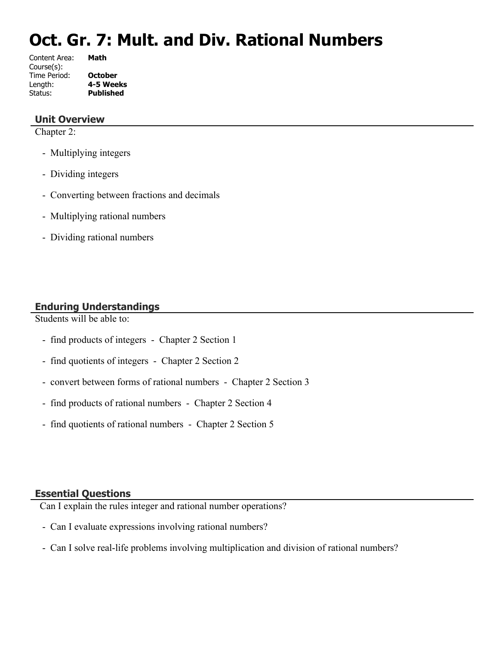# **Oct. Gr. 7: Mult. and Div. Rational Numbers**

| Content Area: | Math             |
|---------------|------------------|
| Course(s):    |                  |
| Time Period:  | <b>October</b>   |
| Length:       | 4-5 Weeks        |
| Status:       | <b>Published</b> |
|               |                  |

#### **Unit Overview**

Chapter 2:

- Multiplying integers
- Dividing integers
- Converting between fractions and decimals
- Multiplying rational numbers
- Dividing rational numbers

# **Enduring Understandings**

Students will be able to:

- find products of integers Chapter 2 Section 1
- find quotients of integers Chapter 2 Section 2
- convert between forms of rational numbers Chapter 2 Section 3
- find products of rational numbers Chapter 2 Section 4
- find quotients of rational numbers Chapter 2 Section 5

#### **Essential Questions**

Can I explain the rules integer and rational number operations?

- Can I evaluate expressions involving rational numbers?
- Can I solve real-life problems involving multiplication and division of rational numbers?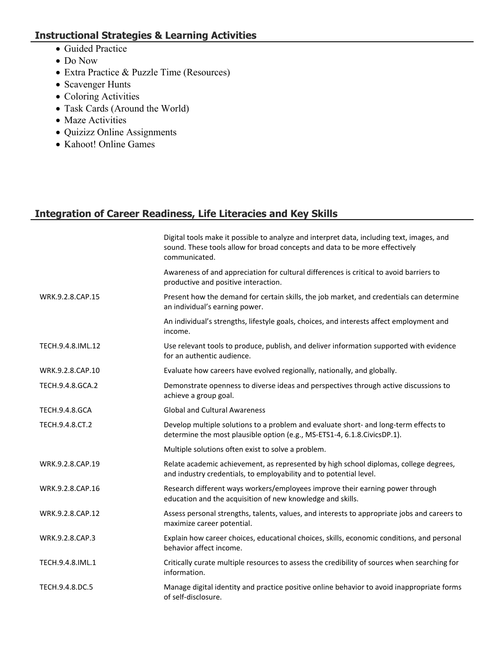# **Instructional Strategies & Learning Activities**

- Guided Practice
- Do Now
- Extra Practice & Puzzle Time (Resources)
- Scavenger Hunts
- Coloring Activities
- Task Cards (Around the World)
- Maze Activities
- Quizizz Online Assignments
- Kahoot! Online Games

# **Integration of Career Readiness, Life Literacies and Key Skills**

|                       | Digital tools make it possible to analyze and interpret data, including text, images, and<br>sound. These tools allow for broad concepts and data to be more effectively<br>communicated. |
|-----------------------|-------------------------------------------------------------------------------------------------------------------------------------------------------------------------------------------|
|                       | Awareness of and appreciation for cultural differences is critical to avoid barriers to<br>productive and positive interaction.                                                           |
| WRK.9.2.8.CAP.15      | Present how the demand for certain skills, the job market, and credentials can determine<br>an individual's earning power.                                                                |
|                       | An individual's strengths, lifestyle goals, choices, and interests affect employment and<br>income.                                                                                       |
| TECH.9.4.8.IML.12     | Use relevant tools to produce, publish, and deliver information supported with evidence<br>for an authentic audience.                                                                     |
| WRK.9.2.8.CAP.10      | Evaluate how careers have evolved regionally, nationally, and globally.                                                                                                                   |
| TECH.9.4.8.GCA.2      | Demonstrate openness to diverse ideas and perspectives through active discussions to<br>achieve a group goal.                                                                             |
| <b>TECH.9.4.8.GCA</b> | <b>Global and Cultural Awareness</b>                                                                                                                                                      |
| TECH.9.4.8.CT.2       | Develop multiple solutions to a problem and evaluate short- and long-term effects to<br>determine the most plausible option (e.g., MS-ETS1-4, 6.1.8.CivicsDP.1).                          |
|                       | Multiple solutions often exist to solve a problem.                                                                                                                                        |
| WRK.9.2.8.CAP.19      | Relate academic achievement, as represented by high school diplomas, college degrees,<br>and industry credentials, to employability and to potential level.                               |
| WRK.9.2.8.CAP.16      | Research different ways workers/employees improve their earning power through<br>education and the acquisition of new knowledge and skills.                                               |
| WRK.9.2.8.CAP.12      | Assess personal strengths, talents, values, and interests to appropriate jobs and careers to<br>maximize career potential.                                                                |
| WRK.9.2.8.CAP.3       | Explain how career choices, educational choices, skills, economic conditions, and personal<br>behavior affect income.                                                                     |
| TECH.9.4.8.IML.1      | Critically curate multiple resources to assess the credibility of sources when searching for<br>information.                                                                              |
| TECH.9.4.8.DC.5       | Manage digital identity and practice positive online behavior to avoid inappropriate forms<br>of self-disclosure.                                                                         |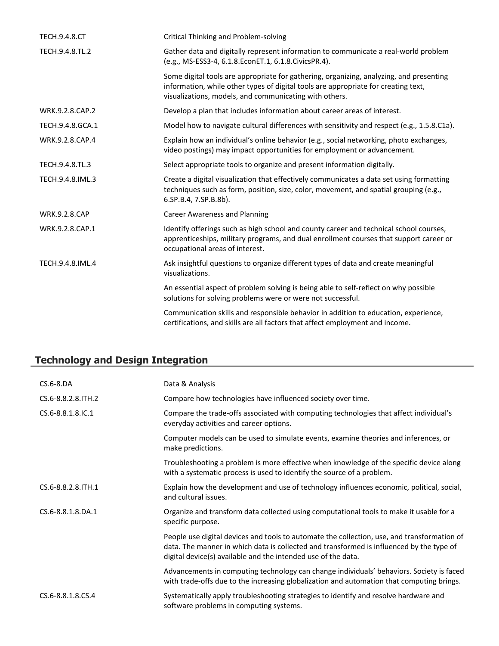| <b>TECH.9.4.8.CT</b> | <b>Critical Thinking and Problem-solving</b>                                                                                                                                                                                            |
|----------------------|-----------------------------------------------------------------------------------------------------------------------------------------------------------------------------------------------------------------------------------------|
| TECH.9.4.8.TL.2      | Gather data and digitally represent information to communicate a real-world problem<br>(e.g., MS-ESS3-4, 6.1.8.EconET.1, 6.1.8.CivicsPR.4).                                                                                             |
|                      | Some digital tools are appropriate for gathering, organizing, analyzing, and presenting<br>information, while other types of digital tools are appropriate for creating text,<br>visualizations, models, and communicating with others. |
| WRK.9.2.8.CAP.2      | Develop a plan that includes information about career areas of interest.                                                                                                                                                                |
| TECH.9.4.8.GCA.1     | Model how to navigate cultural differences with sensitivity and respect (e.g., 1.5.8.C1a).                                                                                                                                              |
| WRK.9.2.8.CAP.4      | Explain how an individual's online behavior (e.g., social networking, photo exchanges,<br>video postings) may impact opportunities for employment or advancement.                                                                       |
| TECH.9.4.8.TL.3      | Select appropriate tools to organize and present information digitally.                                                                                                                                                                 |
| TECH.9.4.8.IML.3     | Create a digital visualization that effectively communicates a data set using formatting<br>techniques such as form, position, size, color, movement, and spatial grouping (e.g.,<br>6.SP.B.4, 7.SP.B.8b).                              |
| <b>WRK.9.2.8.CAP</b> | <b>Career Awareness and Planning</b>                                                                                                                                                                                                    |
| WRK.9.2.8.CAP.1      | Identify offerings such as high school and county career and technical school courses,<br>apprenticeships, military programs, and dual enrollment courses that support career or<br>occupational areas of interest.                     |
| TECH.9.4.8.IML.4     | Ask insightful questions to organize different types of data and create meaningful<br>visualizations.                                                                                                                                   |
|                      | An essential aspect of problem solving is being able to self-reflect on why possible<br>solutions for solving problems were or were not successful.                                                                                     |
|                      | Communication skills and responsible behavior in addition to education, experience,<br>certifications, and skills are all factors that affect employment and income.                                                                    |

# **Technology and Design Integration**

| CS.6-8.DA          | Data & Analysis                                                                                                                                                                                                                                          |
|--------------------|----------------------------------------------------------------------------------------------------------------------------------------------------------------------------------------------------------------------------------------------------------|
| CS.6-8.8.2.8.ITH.2 | Compare how technologies have influenced society over time.                                                                                                                                                                                              |
| CS.6-8.8.1.8.IC.1  | Compare the trade-offs associated with computing technologies that affect individual's<br>everyday activities and career options.                                                                                                                        |
|                    | Computer models can be used to simulate events, examine theories and inferences, or<br>make predictions.                                                                                                                                                 |
|                    | Troubleshooting a problem is more effective when knowledge of the specific device along<br>with a systematic process is used to identify the source of a problem.                                                                                        |
| CS.6-8.8.2.8.ITH.1 | Explain how the development and use of technology influences economic, political, social,<br>and cultural issues.                                                                                                                                        |
| CS.6-8.8.1.8.DA.1  | Organize and transform data collected using computational tools to make it usable for a<br>specific purpose.                                                                                                                                             |
|                    | People use digital devices and tools to automate the collection, use, and transformation of<br>data. The manner in which data is collected and transformed is influenced by the type of<br>digital device(s) available and the intended use of the data. |
|                    | Advancements in computing technology can change individuals' behaviors. Society is faced<br>with trade-offs due to the increasing globalization and automation that computing brings.                                                                    |
| CS.6-8.8.1.8.CS.4  | Systematically apply troubleshooting strategies to identify and resolve hardware and<br>software problems in computing systems.                                                                                                                          |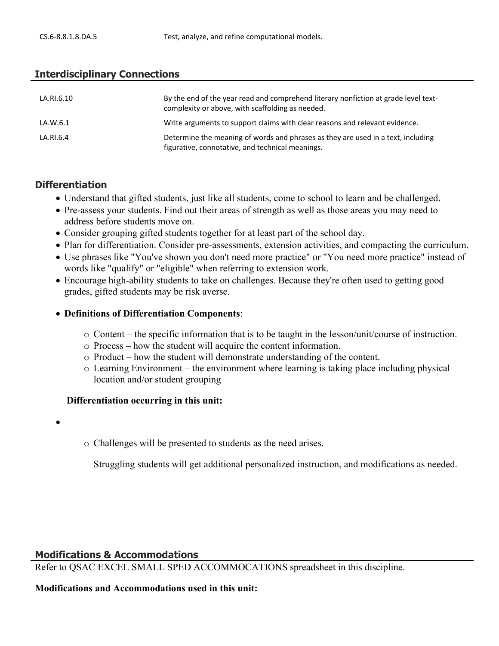#### **Interdisciplinary Connections**

| LA.RI.6.10 | By the end of the year read and comprehend literary nonfiction at grade level text-<br>complexity or above, with scaffolding as needed. |
|------------|-----------------------------------------------------------------------------------------------------------------------------------------|
| LA.W.6.1   | Write arguments to support claims with clear reasons and relevant evidence.                                                             |
| LA.RI.6.4  | Determine the meaning of words and phrases as they are used in a text, including<br>figurative, connotative, and technical meanings.    |

#### **Differentiation**

- Understand that gifted students, just like all students, come to school to learn and be challenged.
- Pre-assess your students. Find out their areas of strength as well as those areas you may need to address before students move on.
- Consider grouping gifted students together for at least part of the school day.
- Plan for differentiation. Consider pre-assessments, extension activities, and compacting the curriculum.
- Use phrases like "You've shown you don't need more practice" or "You need more practice" instead of words like "qualify" or "eligible" when referring to extension work.
- Encourage high-ability students to take on challenges. Because they're often used to getting good grades, gifted students may be risk averse.

#### **Definitions of Differentiation Components**:

- o Content the specific information that is to be taught in the lesson/unit/course of instruction.
- o Process how the student will acquire the content information.
- o Product how the student will demonstrate understanding of the content.
- $\circ$  Learning Environment the environment where learning is taking place including physical location and/or student grouping

#### **Differentiation occurring in this unit:**

- $\bullet$
- o Challenges will be presented to students as the need arises.

Struggling students will get additional personalized instruction, and modifications as needed.

#### **Modifications & Accommodations**

Refer to QSAC EXCEL SMALL SPED ACCOMMOCATIONS spreadsheet in this discipline.

#### **Modifications and Accommodations used in this unit:**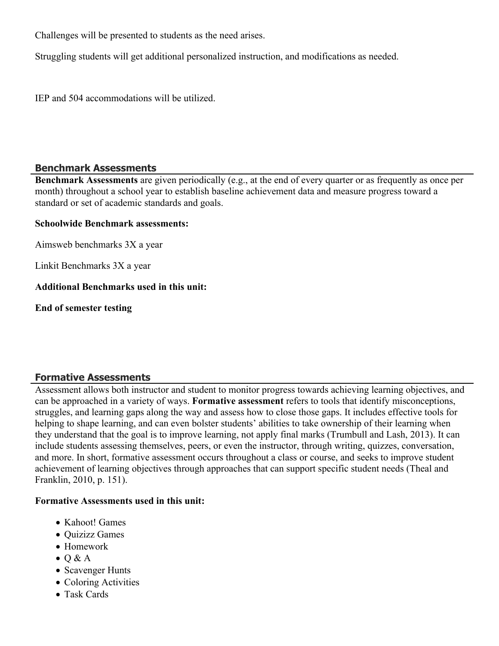Challenges will be presented to students as the need arises.

Struggling students will get additional personalized instruction, and modifications as needed.

IEP and 504 accommodations will be utilized.

#### **Benchmark Assessments**

**Benchmark Assessments** are given periodically (e.g., at the end of every quarter or as frequently as once per month) throughout a school year to establish baseline achievement data and measure progress toward a standard or set of academic standards and goals.

#### **Schoolwide Benchmark assessments:**

Aimsweb benchmarks 3X a year

Linkit Benchmarks 3X a year

#### **Additional Benchmarks used in this unit:**

**End of semester testing**

## **Formative Assessments**

Assessment allows both instructor and student to monitor progress towards achieving learning objectives, and can be approached in a variety of ways. **Formative assessment** refers to tools that identify misconceptions, struggles, and learning gaps along the way and assess how to close those gaps. It includes effective tools for helping to shape learning, and can even bolster students' abilities to take ownership of their learning when they understand that the goal is to improve learning, not apply final marks (Trumbull and Lash, 2013). It can include students assessing themselves, peers, or even the instructor, through writing, quizzes, conversation, and more. In short, formative assessment occurs throughout a class or course, and seeks to improve student achievement of learning objectives through approaches that can support specific student needs (Theal and Franklin, 2010, p. 151).

#### **Formative Assessments used in this unit:**

- Kahoot! Games
- Quizizz Games
- Homework
- $\bullet$  O & A
- Scavenger Hunts
- Coloring Activities
- Task Cards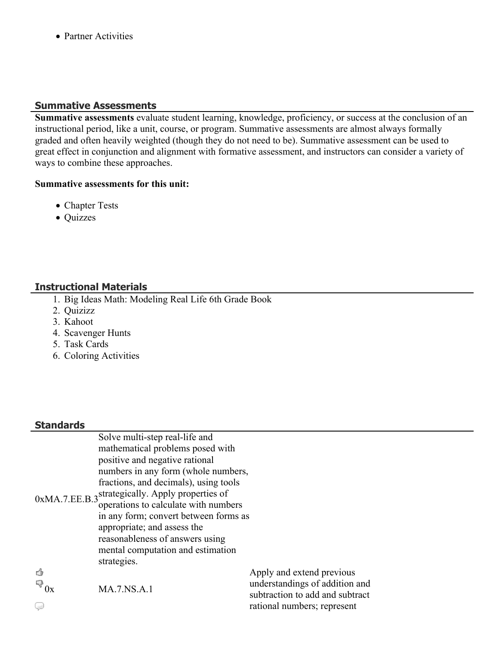• Partner Activities

#### **Summative Assessments**

**Summative assessments** evaluate student learning, knowledge, proficiency, or success at the conclusion of an instructional period, like a unit, course, or program. Summative assessments are almost always formally graded and often heavily weighted (though they do not need to be). Summative assessment can be used to great effect in conjunction and alignment with formative assessment, and instructors can consider a variety of ways to combine these approaches.

#### **Summative assessments for this unit:**

- Chapter Tests
- Quizzes

## **Instructional Materials**

- 1. Big Ideas Math: Modeling Real Life 6th Grade Book
- 2. Quizizz
- 3. Kahoot
- 4. Scavenger Hunts
- 5. Task Cards
- 6. Coloring Activities

# **Standards**

|                   | Solve multi-step real-life and                               |                                 |
|-------------------|--------------------------------------------------------------|---------------------------------|
|                   | mathematical problems posed with                             |                                 |
|                   | positive and negative rational                               |                                 |
|                   | numbers in any form (whole numbers,                          |                                 |
|                   | fractions, and decimals), using tools                        |                                 |
|                   | 0xMA.7.EE.B.3 <sup>strategically</sup> . Apply properties of |                                 |
|                   | operations to calculate with numbers                         |                                 |
|                   | in any form; convert between forms as                        |                                 |
|                   | appropriate; and assess the                                  |                                 |
|                   | reasonableness of answers using                              |                                 |
|                   | mental computation and estimation                            |                                 |
|                   | strategies.                                                  |                                 |
| ₫                 |                                                              | Apply and extend previous       |
| $\mathbb{F}_{0x}$ | <b>MA.7.NS.A.1</b>                                           | understandings of addition and  |
|                   |                                                              | subtraction to add and subtract |
| Ç                 |                                                              | rational numbers; represent     |
|                   |                                                              |                                 |